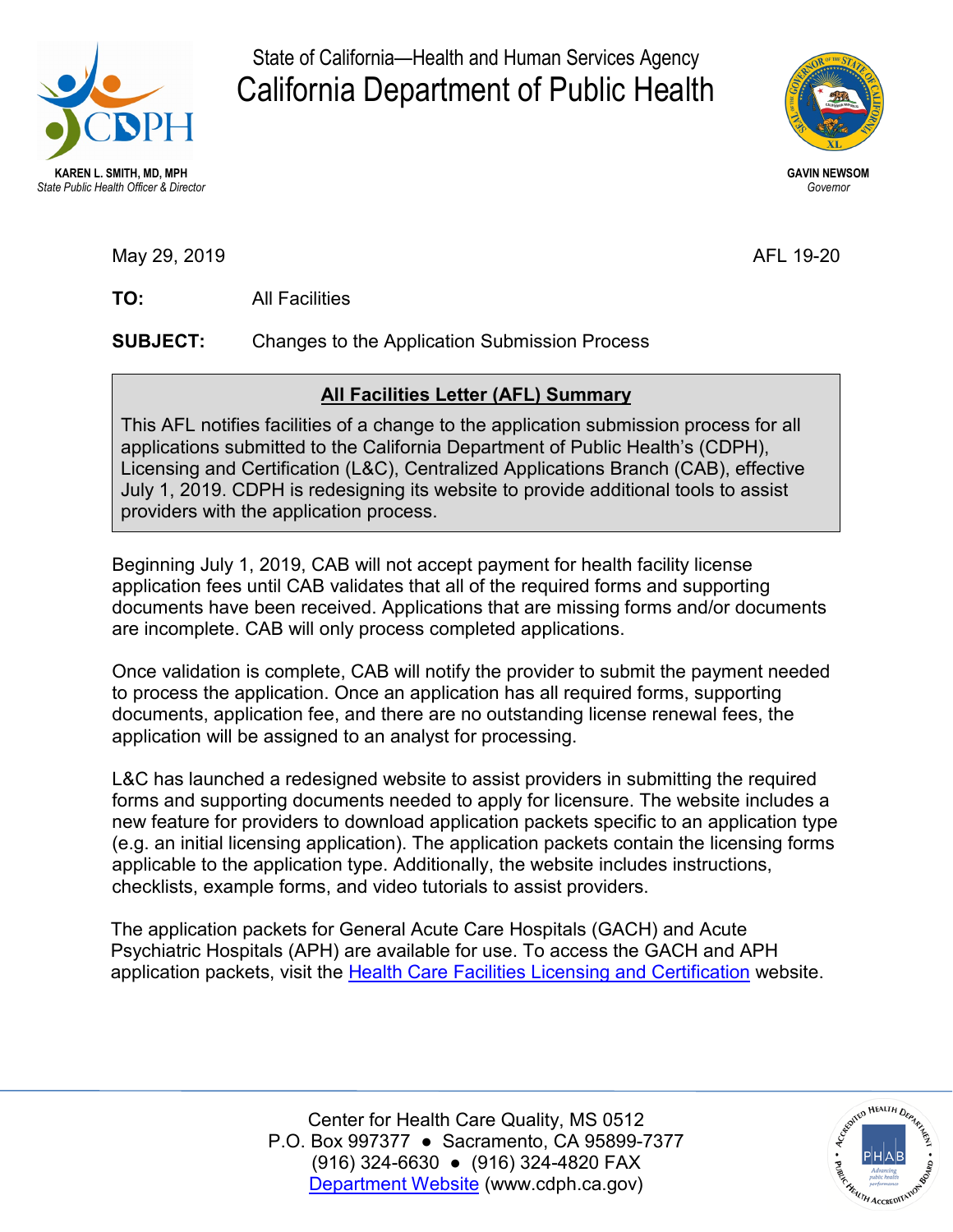

State of California—Health and Human Services Agency California Department of Public Health



May 29, 2019 AFL 19-20

TO: **TO:** All Facilities

**SUBJECT:** Changes to the Application Submission Process

## **All Facilities Letter (AFL) Summary**

This AFL notifies facilities of a change to the application submission process for all applications submitted to the California Department of Public Health's (CDPH), Licensing and Certification (L&C), Centralized Applications Branch (CAB), effective July 1, 2019. CDPH is redesigning its website to provide additional tools to assist providers with the application process.

 application fees until CAB validates that all of the required forms and supporting documents have been received. Applications that are missing forms and/or documents Beginning July 1, 2019, CAB will not accept payment for health facility license are incomplete. CAB will only process completed applications.

Once validation is complete, CAB will notify the provider to submit the payment needed to process the application. Once an application has all required forms, supporting documents, application fee, and there are no outstanding license renewal fees, the application will be assigned to an analyst for processing.

L&C has launched a redesigned website to assist providers in submitting the required forms and supporting documents needed to apply for licensure. The website includes a new feature for providers to download application packets specific to an application type (e.g. an initial licensing application). The application packets contain the licensing forms applicable to the application type. Additionally, the website includes instructions, checklists, example forms, and video tutorials to assist providers.

application packets, visit the <u>Health Care Facilities Licensing and Certification</u> website. The application packets for General Acute Care Hospitals (GACH) and Acute Psychiatric Hospitals (APH) are available for use. To access the GACH and APH